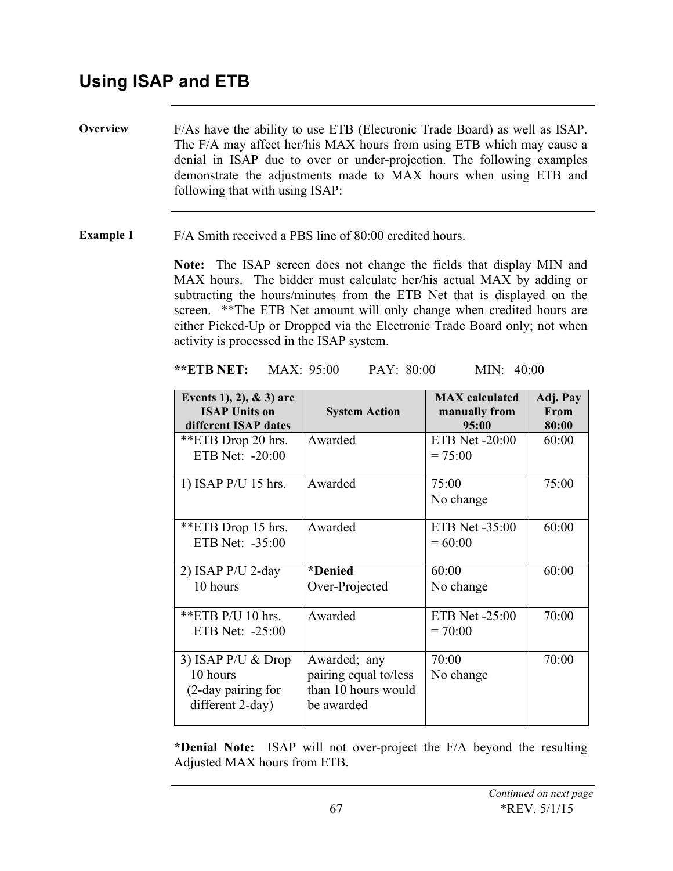**Overview** F/As have the ability to use ETB (Electronic Trade Board) as well as ISAP. The F/A may affect her/his MAX hours from using ETB which may cause a denial in ISAP due to over or under-projection. The following examples demonstrate the adjustments made to MAX hours when using ETB and following that with using ISAP:

**Example 1** F/A Smith received a PBS line of 80:00 credited hours.

**Note:** The ISAP screen does not change the fields that display MIN and MAX hours. The bidder must calculate her/his actual MAX by adding or subtracting the hours/minutes from the ETB Net that is displayed on the screen. \*\*The ETB Net amount will only change when credited hours are either Picked-Up or Dropped via the Electronic Trade Board only; not when activity is processed in the ISAP system.

**\*\*ETB NET:** MAX: 95:00 PAY: 80:00 MIN: 40:00

| Events 1), 2), $& 3$ ) are<br><b>ISAP Units on</b><br>different ISAP dates  | <b>System Action</b>                                                       | <b>MAX</b> calculated<br>manually from<br>95:00 | Adj. Pay<br>From<br>80:00 |
|-----------------------------------------------------------------------------|----------------------------------------------------------------------------|-------------------------------------------------|---------------------------|
| **ETB Drop 20 hrs.<br>ETB Net: -20:00                                       | Awarded                                                                    | <b>ETB Net -20:00</b><br>$= 75:00$              | 60:00                     |
| 1) ISAP $P/U$ 15 hrs.                                                       | Awarded                                                                    | 75:00<br>No change                              | 75:00                     |
| **ETB Drop 15 hrs.<br>ETB Net: $-35:00$                                     | Awarded                                                                    | ETB Net -35:00<br>$= 60:00$                     | 60:00                     |
| 2) ISAP $P/U$ 2-day<br>10 hours                                             | *Denied<br>Over-Projected                                                  | 60:00<br>No change                              | 60:00                     |
| **ETB $P/U$ 10 hrs.<br>ETB Net: -25:00                                      | Awarded                                                                    | ETB Net -25:00<br>$= 70:00$                     | 70:00                     |
| 3) ISAP $P/U \&$ Drop<br>10 hours<br>(2-day pairing for<br>different 2-day) | Awarded; any<br>pairing equal to/less<br>than 10 hours would<br>be awarded | 70:00<br>No change                              | 70:00                     |

**\*Denial Note:** ISAP will not over-project the F/A beyond the resulting Adjusted MAX hours from ETB.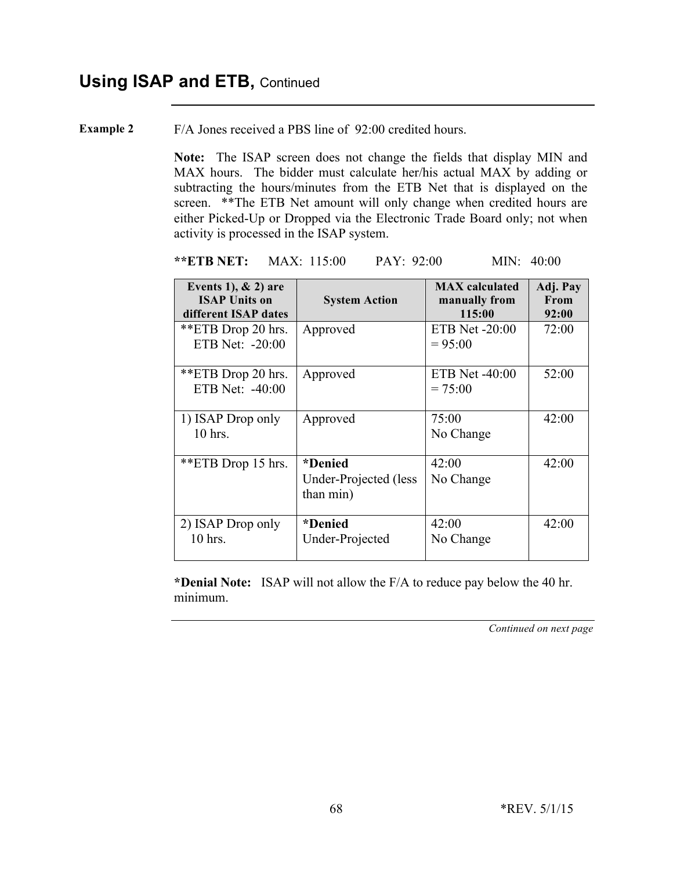**Example 2** F/A Jones received a PBS line of 92:00 credited hours.

**Note:** The ISAP screen does not change the fields that display MIN and MAX hours. The bidder must calculate her/his actual MAX by adding or subtracting the hours/minutes from the ETB Net that is displayed on the screen. \*\*The ETB Net amount will only change when credited hours are either Picked-Up or Dropped via the Electronic Trade Board only; not when activity is processed in the ISAP system.

**\*\*ETB NET:** MAX: 115:00 PAY: 92:00 MIN: 40:00

| Events 1), $& 2$ ) are<br><b>ISAP Units on</b><br>different ISAP dates | <b>System Action</b>                          | <b>MAX</b> calculated<br>manually from<br>115:00 | Adj. Pay<br><b>From</b><br>92:00 |
|------------------------------------------------------------------------|-----------------------------------------------|--------------------------------------------------|----------------------------------|
| **ETB Drop 20 hrs.<br>ETB Net: $-20:00$                                | Approved                                      | ETB Net $-20:00$<br>$= 95:00$                    | 72:00                            |
| **ETB Drop 20 hrs.<br>ETB Net: -40:00                                  | Approved                                      | ETB Net $-40:00$<br>$= 75:00$                    | 52:00                            |
| 1) ISAP Drop only<br>10 hrs.                                           | Approved                                      | 75:00<br>No Change                               | 42:00                            |
| **ETB Drop 15 hrs.                                                     | *Denied<br>Under-Projected (less<br>than min) | 42:00<br>No Change                               | 42:00                            |
| 2) ISAP Drop only<br>10 hrs.                                           | *Denied<br>Under-Projected                    | 42:00<br>No Change                               | 42:00                            |

**\*Denial Note:** ISAP will not allow the F/A to reduce pay below the 40 hr. minimum.

*Continued on next page*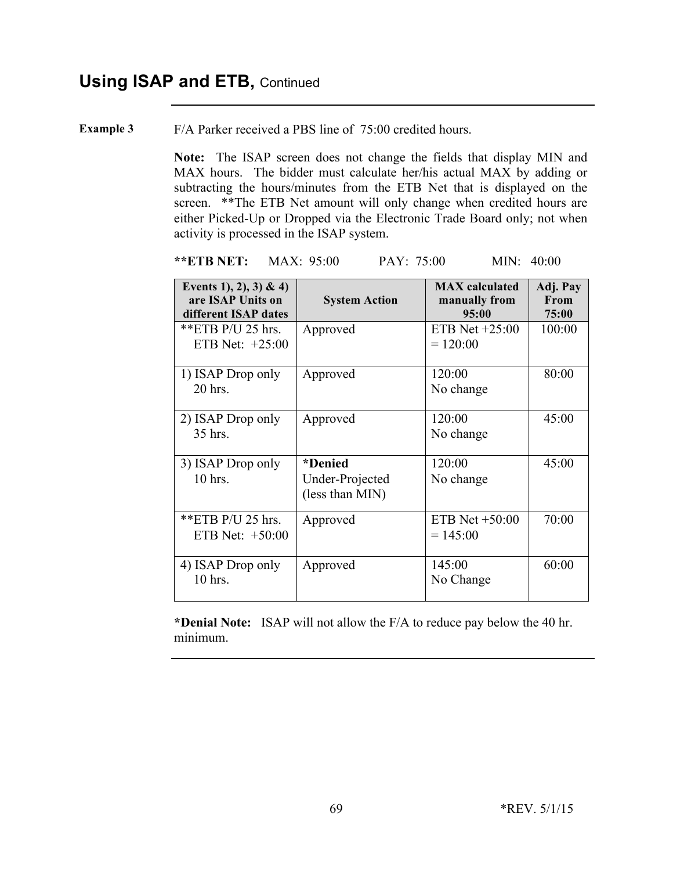**Example 3** F/A Parker received a PBS line of 75:00 credited hours.

**Note:** The ISAP screen does not change the fields that display MIN and MAX hours. The bidder must calculate her/his actual MAX by adding or subtracting the hours/minutes from the ETB Net that is displayed on the screen. \*\*The ETB Net amount will only change when credited hours are either Picked-Up or Dropped via the Electronic Trade Board only; not when activity is processed in the ISAP system.

### **\*\*ETB NET:** MAX: 95:00 PAY: 75:00 MIN: 40:00

| Events 1), 2), 3) & 4)                    |                                               | <b>MAX</b> calculated          | Adj. Pay<br>From |
|-------------------------------------------|-----------------------------------------------|--------------------------------|------------------|
| are ISAP Units on<br>different ISAP dates | <b>System Action</b>                          | manually from<br>95:00         | 75:00            |
| **ETB $P/U$ 25 hrs.<br>ETB Net: $+25:00$  | Approved                                      | ETB Net $+25:00$<br>$= 120:00$ | 100:00           |
| 1) ISAP Drop only<br>20 hrs.              | Approved                                      | 120:00<br>No change            | 80:00            |
| 2) ISAP Drop only<br>35 hrs.              | Approved                                      | 120:00<br>No change            | 45:00            |
| 3) ISAP Drop only<br>$10$ hrs.            | *Denied<br>Under-Projected<br>(less than MIN) | 120:00<br>No change            | 45:00            |
| **ETB $P/U$ 25 hrs.<br>ETB Net: $+50:00$  | Approved                                      | ETB Net $+50:00$<br>$= 145:00$ | 70:00            |
| 4) ISAP Drop only<br>10 hrs.              | Approved                                      | 145:00<br>No Change            | 60:00            |

**\*Denial Note:** ISAP will not allow the F/A to reduce pay below the 40 hr. minimum.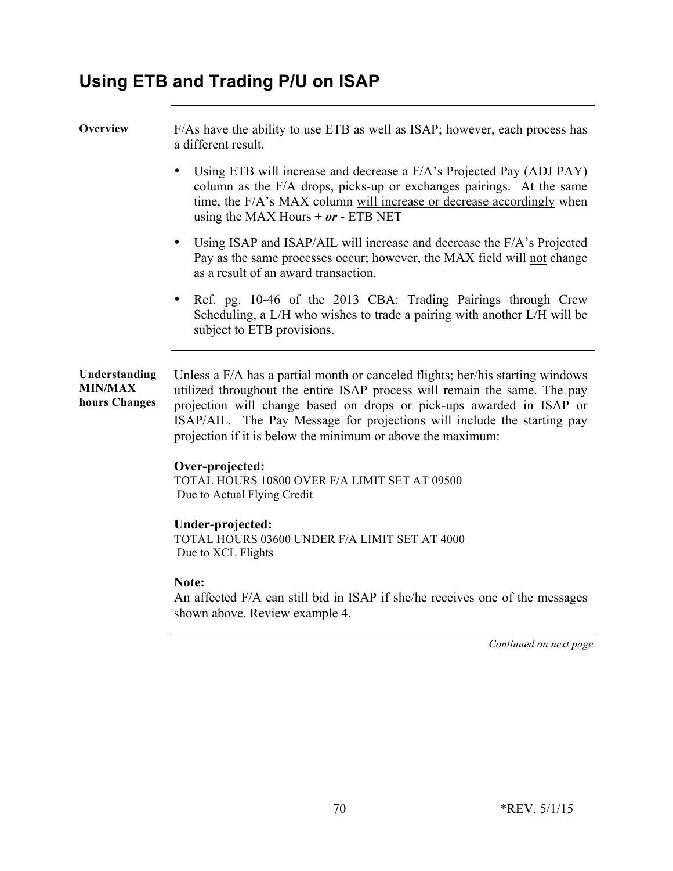# **Using ETB and Trading P/U on ISAP**

**Overview** F/As have the ability to use ETB as well as ISAP; however, each process has a different result.

- Using ETB will increase and decrease a F/A's Projected Pay (ADJ PAY) column as the F/A drops, picks-up or exchanges pairings. At the same time, the F/A's MAX column will increase or decrease accordingly when using the MAX Hours  $+$   $or$  - ETB NET
- Using ISAP and ISAP/AIL will increase and decrease the F/A's Projected Pay as the same processes occur; however, the MAX field will not change as a result of an award transaction.
- Ref. pg. 10-46 of the 2013 CBA: Trading Pairings through Crew Scheduling, a L/H who wishes to trade a pairing with another L/H will be subject to ETB provisions.

**Understanding MIN/MAX hours Changes** Unless a F/A has a partial month or canceled flights; her/his starting windows utilized throughout the entire ISAP process will remain the same. The pay projection will change based on drops or pick-ups awarded in ISAP or ISAP/AIL. The Pay Message for projections will include the starting pay projection if it is below the minimum or above the maximum:

## **Over-projected:**

TOTAL HOURS 10800 OVER F/A LIMIT SET AT 09500 Due to Actual Flying Credit

### **Under-projected:**

TOTAL HOURS 03600 UNDER F/A LIMIT SET AT 4000 Due to XCL Flights

#### **Note:**

An affected F/A can still bid in ISAP if she/he receives one of the messages shown above. Review example 4.

*Continued on next page*